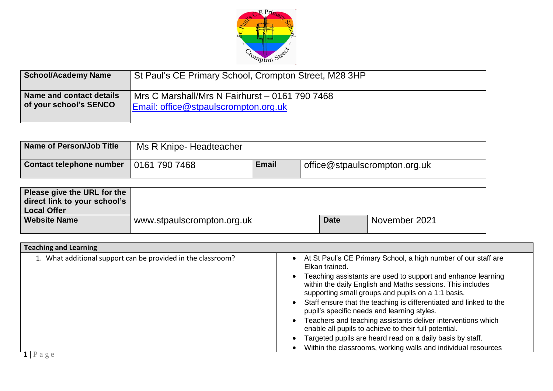

| School/Academy Name      | St Paul's CE Primary School, Crompton Street, M28 3HP |
|--------------------------|-------------------------------------------------------|
| Name and contact details | Mrs C Marshall/Mrs N Fairhurst - 0161 790 7468        |
| of your school's SENCO   | Email: office@stpaulscrompton.org.uk                  |

| Name of Person/Job Title | Ms R Knipe-Headteacher |              |                               |
|--------------------------|------------------------|--------------|-------------------------------|
| Contact telephone number | 0161 790 7468          | <b>Email</b> | office@stpaulscrompton.org.uk |

| Please give the URL for the<br>direct link to your school's<br><b>Local Offer</b> |                            |             |               |
|-----------------------------------------------------------------------------------|----------------------------|-------------|---------------|
| <b>Website Name</b>                                                               | www.stpaulscrompton.org.uk | <b>Date</b> | November 2021 |

| At St Paul's CE Primary School, a high number of our staff are<br>Elkan trained.<br>Teaching assistants are used to support and enhance learning<br>within the daily English and Maths sessions. This includes<br>supporting small groups and pupils on a 1:1 basis.<br>Staff ensure that the teaching is differentiated and linked to the<br>pupil's specific needs and learning styles.<br>Teachers and teaching assistants deliver interventions which<br>enable all pupils to achieve to their full potential.<br>Targeted pupils are heard read on a daily basis by staff. |
|---------------------------------------------------------------------------------------------------------------------------------------------------------------------------------------------------------------------------------------------------------------------------------------------------------------------------------------------------------------------------------------------------------------------------------------------------------------------------------------------------------------------------------------------------------------------------------|
| Within the classrooms, working walls and individual resources                                                                                                                                                                                                                                                                                                                                                                                                                                                                                                                   |
|                                                                                                                                                                                                                                                                                                                                                                                                                                                                                                                                                                                 |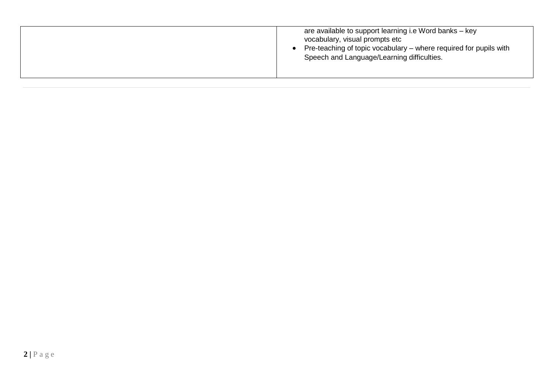|  | are available to support learning i.e Word banks – key<br>vocabulary, visual prompts etc<br>Pre-teaching of topic vocabulary – where required for pupils with<br>Speech and Language/Learning difficulties. |
|--|-------------------------------------------------------------------------------------------------------------------------------------------------------------------------------------------------------------|
|--|-------------------------------------------------------------------------------------------------------------------------------------------------------------------------------------------------------------|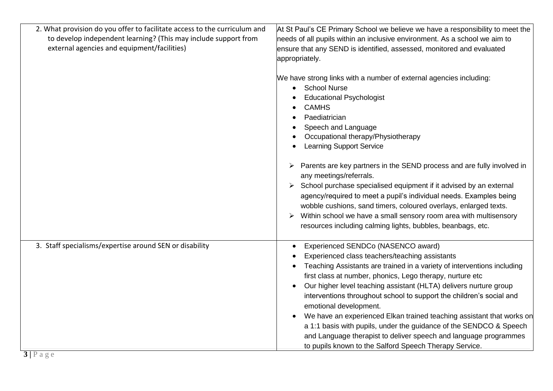| 2. What provision do you offer to facilitate access to the curriculum and | At St Paul's CE Primary School we believe we have a responsibility to meet the                                                                                                                                                                                                                                                                                                                                                                                                                                                                                                                                                                                                                                          |
|---------------------------------------------------------------------------|-------------------------------------------------------------------------------------------------------------------------------------------------------------------------------------------------------------------------------------------------------------------------------------------------------------------------------------------------------------------------------------------------------------------------------------------------------------------------------------------------------------------------------------------------------------------------------------------------------------------------------------------------------------------------------------------------------------------------|
| to develop independent learning? (This may include support from           | needs of all pupils within an inclusive environment. As a school we aim to                                                                                                                                                                                                                                                                                                                                                                                                                                                                                                                                                                                                                                              |
| external agencies and equipment/facilities)                               | ensure that any SEND is identified, assessed, monitored and evaluated                                                                                                                                                                                                                                                                                                                                                                                                                                                                                                                                                                                                                                                   |
|                                                                           | appropriately.                                                                                                                                                                                                                                                                                                                                                                                                                                                                                                                                                                                                                                                                                                          |
|                                                                           | We have strong links with a number of external agencies including:<br><b>School Nurse</b><br>$\bullet$<br><b>Educational Psychologist</b><br><b>CAMHS</b><br>Paediatrician<br>Speech and Language<br>Occupational therapy/Physiotherapy<br><b>Learning Support Service</b><br>Parents are key partners in the SEND process and are fully involved in<br>any meetings/referrals.<br>School purchase specialised equipment if it advised by an external<br>agency/required to meet a pupil's individual needs. Examples being<br>wobble cushions, sand timers, coloured overlays, enlarged texts.<br>Within school we have a small sensory room area with multisensory<br>➤                                               |
|                                                                           | resources including calming lights, bubbles, beanbags, etc.                                                                                                                                                                                                                                                                                                                                                                                                                                                                                                                                                                                                                                                             |
| 3. Staff specialisms/expertise around SEN or disability                   | Experienced SENDCo (NASENCO award)<br>$\bullet$<br>Experienced class teachers/teaching assistants<br>Teaching Assistants are trained in a variety of interventions including<br>first class at number, phonics, Lego therapy, nurture etc<br>Our higher level teaching assistant (HLTA) delivers nurture group<br>$\bullet$<br>interventions throughout school to support the children's social and<br>emotional development.<br>We have an experienced Elkan trained teaching assistant that works on<br>$\bullet$<br>a 1:1 basis with pupils, under the guidance of the SENDCO & Speech<br>and Language therapist to deliver speech and language programmes<br>to pupils known to the Salford Speech Therapy Service. |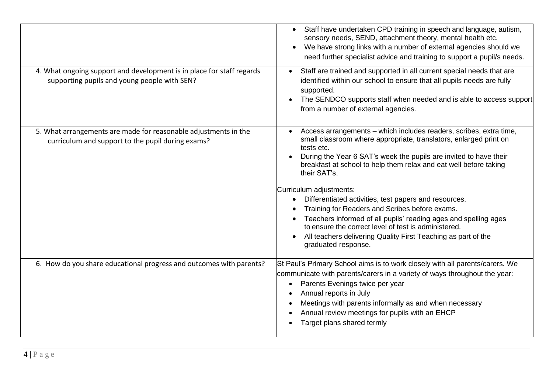|                                                                                                                       | Staff have undertaken CPD training in speech and language, autism,<br>$\bullet$<br>sensory needs, SEND, attachment theory, mental health etc.<br>We have strong links with a number of external agencies should we<br>need further specialist advice and training to support a pupil/s needs.                                                                                                                                                                                                                                                                                                                                                                            |
|-----------------------------------------------------------------------------------------------------------------------|--------------------------------------------------------------------------------------------------------------------------------------------------------------------------------------------------------------------------------------------------------------------------------------------------------------------------------------------------------------------------------------------------------------------------------------------------------------------------------------------------------------------------------------------------------------------------------------------------------------------------------------------------------------------------|
| 4. What ongoing support and development is in place for staff regards<br>supporting pupils and young people with SEN? | Staff are trained and supported in all current special needs that are<br>identified within our school to ensure that all pupils needs are fully<br>supported.<br>The SENDCO supports staff when needed and is able to access support<br>from a number of external agencies.                                                                                                                                                                                                                                                                                                                                                                                              |
| 5. What arrangements are made for reasonable adjustments in the<br>curriculum and support to the pupil during exams?  | Access arrangements - which includes readers, scribes, extra time,<br>small classroom where appropriate, translators, enlarged print on<br>tests etc.<br>During the Year 6 SAT's week the pupils are invited to have their<br>breakfast at school to help them relax and eat well before taking<br>their SAT's.<br>Curriculum adjustments:<br>Differentiated activities, test papers and resources.<br>Training for Readers and Scribes before exams.<br>Teachers informed of all pupils' reading ages and spelling ages<br>to ensure the correct level of test is administered.<br>All teachers delivering Quality First Teaching as part of the<br>graduated response. |
| 6. How do you share educational progress and outcomes with parents?                                                   | St Paul's Primary School aims is to work closely with all parents/carers. We<br>communicate with parents/carers in a variety of ways throughout the year:<br>Parents Evenings twice per year<br>$\bullet$<br>Annual reports in July<br>Meetings with parents informally as and when necessary<br>Annual review meetings for pupils with an EHCP<br>Target plans shared termly                                                                                                                                                                                                                                                                                            |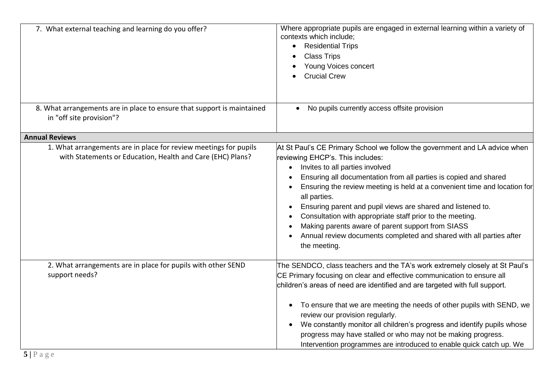| 7. What external teaching and learning do you offer?                                                                           | Where appropriate pupils are engaged in external learning within a variety of<br>contexts which include;<br><b>Residential Trips</b><br><b>Class Trips</b><br>Young Voices concert<br><b>Crucial Crew</b>                                                                                                                                                                                                                                                                                                                                                                                  |
|--------------------------------------------------------------------------------------------------------------------------------|--------------------------------------------------------------------------------------------------------------------------------------------------------------------------------------------------------------------------------------------------------------------------------------------------------------------------------------------------------------------------------------------------------------------------------------------------------------------------------------------------------------------------------------------------------------------------------------------|
| 8. What arrangements are in place to ensure that support is maintained<br>in "off site provision"?                             | No pupils currently access offsite provision<br>$\bullet$                                                                                                                                                                                                                                                                                                                                                                                                                                                                                                                                  |
| <b>Annual Reviews</b>                                                                                                          |                                                                                                                                                                                                                                                                                                                                                                                                                                                                                                                                                                                            |
| 1. What arrangements are in place for review meetings for pupils<br>with Statements or Education, Health and Care (EHC) Plans? | At St Paul's CE Primary School we follow the government and LA advice when<br>reviewing EHCP's. This includes:<br>Invites to all parties involved<br>Ensuring all documentation from all parties is copied and shared<br>Ensuring the review meeting is held at a convenient time and location for<br>all parties.<br>Ensuring parent and pupil views are shared and listened to.<br>Consultation with appropriate staff prior to the meeting.<br>Making parents aware of parent support from SIASS<br>Annual review documents completed and shared with all parties after<br>the meeting. |
| 2. What arrangements are in place for pupils with other SEND<br>support needs?                                                 | The SENDCO, class teachers and the TA's work extremely closely at St Paul's<br>CE Primary focusing on clear and effective communication to ensure all<br>children's areas of need are identified and are targeted with full support.<br>To ensure that we are meeting the needs of other pupils with SEND, we<br>$\bullet$<br>review our provision regularly.<br>We constantly monitor all children's progress and identify pupils whose<br>progress may have stalled or who may not be making progress.<br>Intervention programmes are introduced to enable quick catch up. We            |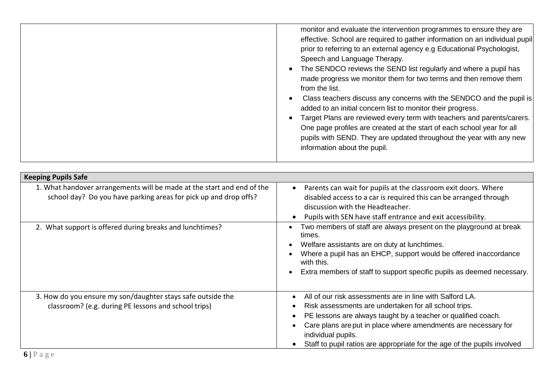|  | monitor and evaluate the intervention programmes to ensure they are<br>effective. School are required to gather information on an individual pupil<br>prior to referring to an external agency e.g Educational Psychologist,<br>Speech and Language Therapy.<br>The SENDCO reviews the SEND list regularly and where a pupil has<br>made progress we monitor them for two terms and then remove them<br>from the list.<br>Class teachers discuss any concerns with the SENDCO and the pupil is<br>added to an initial concern list to monitor their progress.<br>Target Plans are reviewed every term with teachers and parents/carers.<br>One page profiles are created at the start of each school year for all<br>pupils with SEND. They are updated throughout the year with any new<br>information about the pupil. |
|--|--------------------------------------------------------------------------------------------------------------------------------------------------------------------------------------------------------------------------------------------------------------------------------------------------------------------------------------------------------------------------------------------------------------------------------------------------------------------------------------------------------------------------------------------------------------------------------------------------------------------------------------------------------------------------------------------------------------------------------------------------------------------------------------------------------------------------|
|--|--------------------------------------------------------------------------------------------------------------------------------------------------------------------------------------------------------------------------------------------------------------------------------------------------------------------------------------------------------------------------------------------------------------------------------------------------------------------------------------------------------------------------------------------------------------------------------------------------------------------------------------------------------------------------------------------------------------------------------------------------------------------------------------------------------------------------|

| <b>Keeping Pupils Safe</b>                                                                                                                 |                                                                                                                                                                                                                                                                                                                                                        |
|--------------------------------------------------------------------------------------------------------------------------------------------|--------------------------------------------------------------------------------------------------------------------------------------------------------------------------------------------------------------------------------------------------------------------------------------------------------------------------------------------------------|
| 1. What handover arrangements will be made at the start and end of the<br>school day? Do you have parking areas for pick up and drop offs? | Parents can wait for pupils at the classroom exit doors. Where<br>disabled access to a car is required this can be arranged through<br>discussion with the Headteacher.<br>Pupils with SEN have staff entrance and exit accessibility.                                                                                                                 |
| 2. What support is offered during breaks and lunchtimes?                                                                                   | Two members of staff are always present on the playground at break<br>times.<br>Welfare assistants are on duty at lunchtimes.<br>Where a pupil has an EHCP, support would be offered inaccordance<br>with this.<br>Extra members of staff to support specific pupils as deemed necessary.                                                              |
| 3. How do you ensure my son/daughter stays safe outside the<br>classroom? (e.g. during PE lessons and school trips)                        | All of our risk assessments are in line with Salford LA.<br>Risk assessments are undertaken for all school trips.<br>PE lessons are always taught by a teacher or qualified coach.<br>Care plans are put in place where amendments are necessary for<br>individual pupils.<br>Staff to pupil ratios are appropriate for the age of the pupils involved |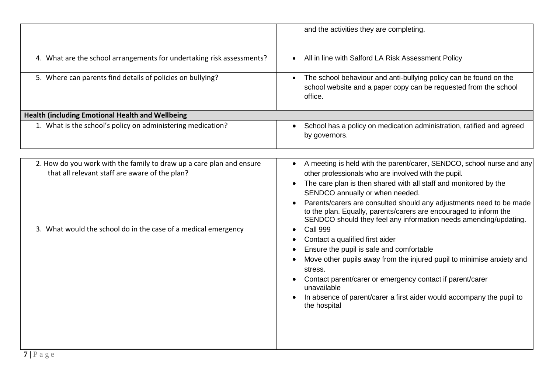|                                                                                                                                                                                          | and the activities they are completing.                                                                                                                                                                                                                                                                                                                                                                                                                                                                                                                                                                                                                                                                                                                                                                  |
|------------------------------------------------------------------------------------------------------------------------------------------------------------------------------------------|----------------------------------------------------------------------------------------------------------------------------------------------------------------------------------------------------------------------------------------------------------------------------------------------------------------------------------------------------------------------------------------------------------------------------------------------------------------------------------------------------------------------------------------------------------------------------------------------------------------------------------------------------------------------------------------------------------------------------------------------------------------------------------------------------------|
| 4. What are the school arrangements for undertaking risk assessments?                                                                                                                    | All in line with Salford LA Risk Assessment Policy<br>$\bullet$                                                                                                                                                                                                                                                                                                                                                                                                                                                                                                                                                                                                                                                                                                                                          |
| 5. Where can parents find details of policies on bullying?                                                                                                                               | The school behaviour and anti-bullying policy can be found on the<br>$\bullet$<br>school website and a paper copy can be requested from the school<br>office.                                                                                                                                                                                                                                                                                                                                                                                                                                                                                                                                                                                                                                            |
| <b>Health (including Emotional Health and Wellbeing</b>                                                                                                                                  |                                                                                                                                                                                                                                                                                                                                                                                                                                                                                                                                                                                                                                                                                                                                                                                                          |
| 1. What is the school's policy on administering medication?                                                                                                                              | School has a policy on medication administration, ratified and agreed<br>by governors.                                                                                                                                                                                                                                                                                                                                                                                                                                                                                                                                                                                                                                                                                                                   |
| 2. How do you work with the family to draw up a care plan and ensure<br>that all relevant staff are aware of the plan?<br>3. What would the school do in the case of a medical emergency | A meeting is held with the parent/carer, SENDCO, school nurse and any<br>other professionals who are involved with the pupil.<br>The care plan is then shared with all staff and monitored by the<br>SENDCO annually or when needed.<br>Parents/carers are consulted should any adjustments need to be made<br>to the plan. Equally, parents/carers are encouraged to inform the<br>SENDCO should they feel any information needs amending/updating.<br>Call 999<br>Contact a qualified first aider<br>Ensure the pupil is safe and comfortable<br>Move other pupils away from the injured pupil to minimise anxiety and<br>stress.<br>Contact parent/carer or emergency contact if parent/carer<br>unavailable<br>In absence of parent/carer a first aider would accompany the pupil to<br>the hospital |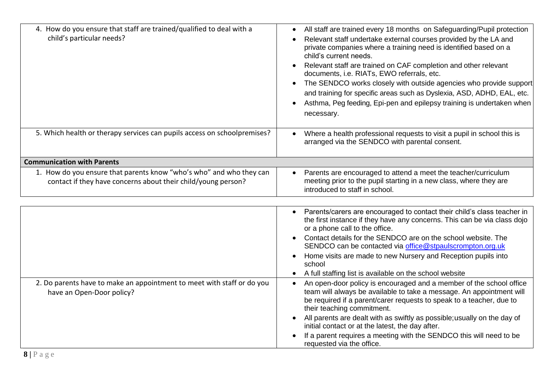| 4. How do you ensure that staff are trained/qualified to deal with a<br>child's particular needs?                                    | All staff are trained every 18 months on Safeguarding/Pupil protection<br>Relevant staff undertake external courses provided by the LA and<br>private companies where a training need is identified based on a<br>child's current needs.<br>Relevant staff are trained on CAF completion and other relevant<br>documents, i.e. RIATs, EWO referrals, etc.<br>The SENDCO works closely with outside agencies who provide support<br>and training for specific areas such as Dyslexia, ASD, ADHD, EAL, etc.<br>Asthma, Peg feeding, Epi-pen and epilepsy training is undertaken when<br>necessary. |
|--------------------------------------------------------------------------------------------------------------------------------------|--------------------------------------------------------------------------------------------------------------------------------------------------------------------------------------------------------------------------------------------------------------------------------------------------------------------------------------------------------------------------------------------------------------------------------------------------------------------------------------------------------------------------------------------------------------------------------------------------|
| 5. Which health or therapy services can pupils access on schoolpremises?                                                             | Where a health professional requests to visit a pupil in school this is<br>arranged via the SENDCO with parental consent.                                                                                                                                                                                                                                                                                                                                                                                                                                                                        |
| <b>Communication with Parents</b>                                                                                                    |                                                                                                                                                                                                                                                                                                                                                                                                                                                                                                                                                                                                  |
| 1. How do you ensure that parents know "who's who" and who they can<br>contact if they have concerns about their child/young person? | Parents are encouraged to attend a meet the teacher/curriculum<br>meeting prior to the pupil starting in a new class, where they are<br>introduced to staff in school.                                                                                                                                                                                                                                                                                                                                                                                                                           |
|                                                                                                                                      |                                                                                                                                                                                                                                                                                                                                                                                                                                                                                                                                                                                                  |
|                                                                                                                                      | Parents/carers are encouraged to contact their child's class teacher in<br>the first instance if they have any concerns. This can be via class dojo<br>or a phone call to the office.<br>Contact details for the SENDCO are on the school website. The<br>SENDCO can be contacted via office@stpaulscrompton.org.uk                                                                                                                                                                                                                                                                              |
|                                                                                                                                      | Home visits are made to new Nursery and Reception pupils into<br>school<br>A full staffing list is available on the school website                                                                                                                                                                                                                                                                                                                                                                                                                                                               |
| 2. Do parents have to make an appointment to meet with staff or do you<br>have an Open-Door policy?                                  | An open-door policy is encouraged and a member of the school office<br>team will always be available to take a message. An appointment will<br>be required if a parent/carer requests to speak to a teacher, due to<br>their teaching commitment.                                                                                                                                                                                                                                                                                                                                                |
|                                                                                                                                      | All parents are dealt with as swiftly as possible; usually on the day of<br>initial contact or at the latest, the day after.<br>If a parent requires a meeting with the SENDCO this will need to be<br>requested via the office.                                                                                                                                                                                                                                                                                                                                                                 |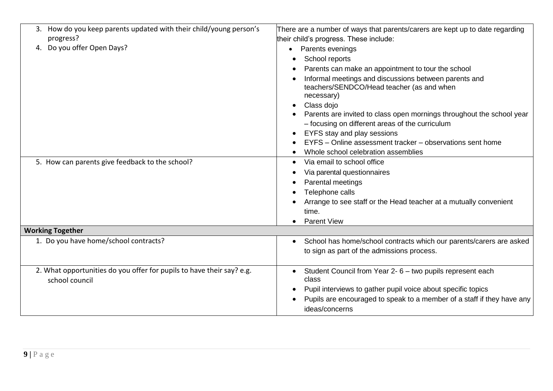| 3. How do you keep parents updated with their child/young person's<br>progress?<br>4. Do you offer Open Days?<br>5. How can parents give feedback to the school? | There are a number of ways that parents/carers are kept up to date regarding<br>their child's progress. These include:<br>Parents evenings<br>$\bullet$<br>School reports<br>Parents can make an appointment to tour the school<br>Informal meetings and discussions between parents and<br>teachers/SENDCO/Head teacher (as and when<br>necessary)<br>Class dojo<br>$\bullet$<br>Parents are invited to class open mornings throughout the school year<br>- focusing on different areas of the curriculum<br>EYFS stay and play sessions<br>$\bullet$<br>EYFS - Online assessment tracker - observations sent home<br>Whole school celebration assemblies<br>Via email to school office<br>$\bullet$ |
|------------------------------------------------------------------------------------------------------------------------------------------------------------------|-------------------------------------------------------------------------------------------------------------------------------------------------------------------------------------------------------------------------------------------------------------------------------------------------------------------------------------------------------------------------------------------------------------------------------------------------------------------------------------------------------------------------------------------------------------------------------------------------------------------------------------------------------------------------------------------------------|
|                                                                                                                                                                  | Via parental questionnaires<br>$\bullet$<br>Parental meetings<br>Telephone calls<br>Arrange to see staff or the Head teacher at a mutually convenient<br>time.<br><b>Parent View</b>                                                                                                                                                                                                                                                                                                                                                                                                                                                                                                                  |
| <b>Working Together</b>                                                                                                                                          |                                                                                                                                                                                                                                                                                                                                                                                                                                                                                                                                                                                                                                                                                                       |
| 1. Do you have home/school contracts?                                                                                                                            | School has home/school contracts which our parents/carers are asked<br>$\bullet$<br>to sign as part of the admissions process.                                                                                                                                                                                                                                                                                                                                                                                                                                                                                                                                                                        |
| 2. What opportunities do you offer for pupils to have their say? e.g.<br>school council                                                                          | Student Council from Year 2- 6 - two pupils represent each<br>$\bullet$<br>class<br>Pupil interviews to gather pupil voice about specific topics<br>Pupils are encouraged to speak to a member of a staff if they have any<br>$\bullet$<br>ideas/concerns                                                                                                                                                                                                                                                                                                                                                                                                                                             |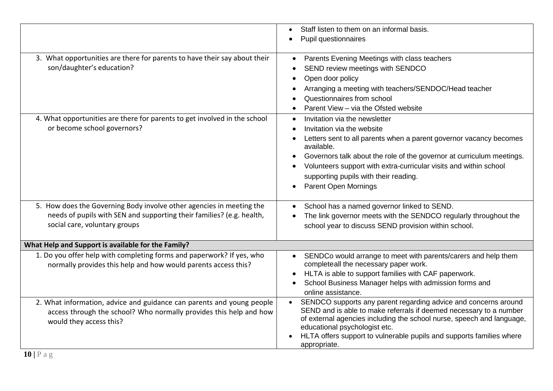|                                                                                                                                         | Staff listen to them on an informal basis.<br>Pupil questionnaires                                                                          |
|-----------------------------------------------------------------------------------------------------------------------------------------|---------------------------------------------------------------------------------------------------------------------------------------------|
|                                                                                                                                         |                                                                                                                                             |
| 3. What opportunities are there for parents to have their say about their                                                               | Parents Evening Meetings with class teachers                                                                                                |
| son/daughter's education?                                                                                                               | SEND review meetings with SENDCO                                                                                                            |
|                                                                                                                                         | Open door policy                                                                                                                            |
|                                                                                                                                         | Arranging a meeting with teachers/SENDOC/Head teacher<br>Questionnaires from school                                                         |
|                                                                                                                                         | Parent View - via the Ofsted website                                                                                                        |
| 4. What opportunities are there for parents to get involved in the school                                                               | Invitation via the newsletter<br>$\bullet$                                                                                                  |
| or become school governors?                                                                                                             | Invitation via the website                                                                                                                  |
|                                                                                                                                         | Letters sent to all parents when a parent governor vacancy becomes<br>available.                                                            |
|                                                                                                                                         | Governors talk about the role of the governor at curriculum meetings.                                                                       |
|                                                                                                                                         | Volunteers support with extra-curricular visits and within school                                                                           |
|                                                                                                                                         | supporting pupils with their reading.                                                                                                       |
|                                                                                                                                         | <b>Parent Open Mornings</b>                                                                                                                 |
| 5. How does the Governing Body involve other agencies in meeting the                                                                    | School has a named governor linked to SEND.                                                                                                 |
| needs of pupils with SEN and supporting their families? (e.g. health,                                                                   | The link governor meets with the SENDCO regularly throughout the                                                                            |
| social care, voluntary groups                                                                                                           | school year to discuss SEND provision within school.                                                                                        |
| What Help and Support is available for the Family?                                                                                      |                                                                                                                                             |
| 1. Do you offer help with completing forms and paperwork? If yes, who<br>normally provides this help and how would parents access this? | SENDCo would arrange to meet with parents/carers and help them<br>$\bullet$<br>completeall the necessary paper work.                        |
|                                                                                                                                         | HLTA is able to support families with CAF paperwork.                                                                                        |
|                                                                                                                                         | School Business Manager helps with admission forms and                                                                                      |
|                                                                                                                                         | online assistance.                                                                                                                          |
| 2. What information, advice and guidance can parents and young people                                                                   | SENDCO supports any parent regarding advice and concerns around<br>$\bullet$                                                                |
| access through the school? Who normally provides this help and how                                                                      | SEND and is able to make referrals if deemed necessary to a number<br>of external agencies including the school nurse, speech and language, |
| would they access this?                                                                                                                 | educational psychologist etc.                                                                                                               |
|                                                                                                                                         | HLTA offers support to vulnerable pupils and supports families where                                                                        |
|                                                                                                                                         | appropriate.                                                                                                                                |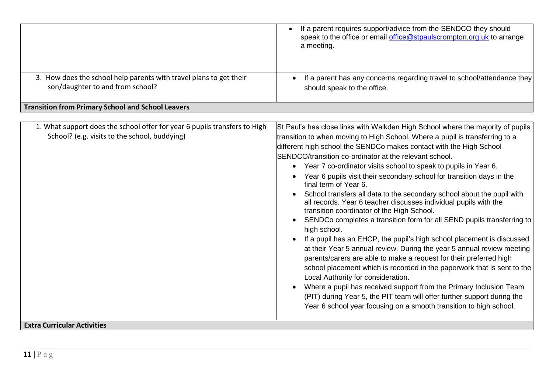|                                                                                                                            | If a parent requires support/advice from the SENDCO they should<br>speak to the office or email office@stpaulscrompton.org.uk to arrange<br>a meeting.                                                                                                                                                                                                                                                                                                                                                                                                                                                                                                                                                                                                                                                                                                                                                                                                                                                                                                                                                                                                                                                                                                                                                                        |
|----------------------------------------------------------------------------------------------------------------------------|-------------------------------------------------------------------------------------------------------------------------------------------------------------------------------------------------------------------------------------------------------------------------------------------------------------------------------------------------------------------------------------------------------------------------------------------------------------------------------------------------------------------------------------------------------------------------------------------------------------------------------------------------------------------------------------------------------------------------------------------------------------------------------------------------------------------------------------------------------------------------------------------------------------------------------------------------------------------------------------------------------------------------------------------------------------------------------------------------------------------------------------------------------------------------------------------------------------------------------------------------------------------------------------------------------------------------------|
| 3. How does the school help parents with travel plans to get their<br>son/daughter to and from school?                     | If a parent has any concerns regarding travel to school/attendance they<br>should speak to the office.                                                                                                                                                                                                                                                                                                                                                                                                                                                                                                                                                                                                                                                                                                                                                                                                                                                                                                                                                                                                                                                                                                                                                                                                                        |
| <b>Transition from Primary School and School Leavers</b>                                                                   |                                                                                                                                                                                                                                                                                                                                                                                                                                                                                                                                                                                                                                                                                                                                                                                                                                                                                                                                                                                                                                                                                                                                                                                                                                                                                                                               |
| 1. What support does the school offer for year 6 pupils transfers to High<br>School? (e.g. visits to the school, buddying) | St Paul's has close links with Walkden High School where the majority of pupils<br>transition to when moving to High School. Where a pupil is transferring to a<br>different high school the SENDCo makes contact with the High School<br>SENDCO/transition co-ordinator at the relevant school.<br>Year 7 co-ordinator visits school to speak to pupils in Year 6.<br>Year 6 pupils visit their secondary school for transition days in the<br>final term of Year 6.<br>School transfers all data to the secondary school about the pupil with<br>all records. Year 6 teacher discusses individual pupils with the<br>transition coordinator of the High School.<br>SENDCo completes a transition form for all SEND pupils transferring to<br>high school.<br>If a pupil has an EHCP, the pupil's high school placement is discussed<br>at their Year 5 annual review. During the year 5 annual review meeting<br>parents/carers are able to make a request for their preferred high<br>school placement which is recorded in the paperwork that is sent to the<br>Local Authority for consideration.<br>Where a pupil has received support from the Primary Inclusion Team<br>(PIT) during Year 5, the PIT team will offer further support during the<br>Year 6 school year focusing on a smooth transition to high school. |
| <b>Extra Curricular Activities</b>                                                                                         |                                                                                                                                                                                                                                                                                                                                                                                                                                                                                                                                                                                                                                                                                                                                                                                                                                                                                                                                                                                                                                                                                                                                                                                                                                                                                                                               |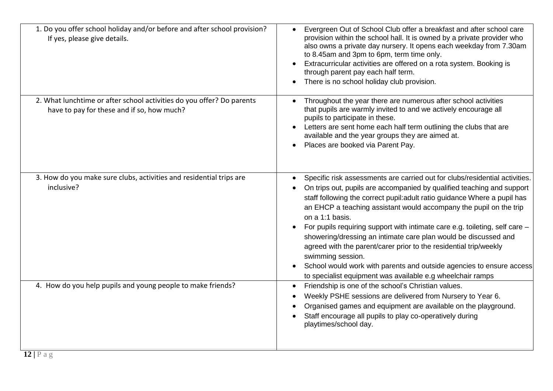| 1. Do you offer school holiday and/or before and after school provision?<br>If yes, please give details.            | Evergreen Out of School Club offer a breakfast and after school care<br>provision within the school hall. It is owned by a private provider who<br>also owns a private day nursery. It opens each weekday from 7.30am<br>to 8.45am and 3pm to 6pm, term time only.<br>Extracurricular activities are offered on a rota system. Booking is<br>through parent pay each half term.<br>There is no school holiday club provision.                                                                                                                                                                                                                                                                                 |
|---------------------------------------------------------------------------------------------------------------------|---------------------------------------------------------------------------------------------------------------------------------------------------------------------------------------------------------------------------------------------------------------------------------------------------------------------------------------------------------------------------------------------------------------------------------------------------------------------------------------------------------------------------------------------------------------------------------------------------------------------------------------------------------------------------------------------------------------|
| 2. What lunchtime or after school activities do you offer? Do parents<br>have to pay for these and if so, how much? | Throughout the year there are numerous after school activities<br>that pupils are warmly invited to and we actively encourage all<br>pupils to participate in these.<br>Letters are sent home each half term outlining the clubs that are<br>available and the year groups they are aimed at.<br>Places are booked via Parent Pay.                                                                                                                                                                                                                                                                                                                                                                            |
| 3. How do you make sure clubs, activities and residential trips are<br>inclusive?                                   | Specific risk assessments are carried out for clubs/residential activities.<br>On trips out, pupils are accompanied by qualified teaching and support<br>staff following the correct pupil: adult ratio guidance Where a pupil has<br>an EHCP a teaching assistant would accompany the pupil on the trip<br>on a 1:1 basis.<br>For pupils requiring support with intimate care e.g. toileting, self care -<br>showering/dressing an intimate care plan would be discussed and<br>agreed with the parent/carer prior to the residential trip/weekly<br>swimming session.<br>School would work with parents and outside agencies to ensure access<br>to specialist equipment was available e.g wheelchair ramps |
| 4. How do you help pupils and young people to make friends?                                                         | Friendship is one of the school's Christian values.<br>$\bullet$<br>Weekly PSHE sessions are delivered from Nursery to Year 6.<br>Organised games and equipment are available on the playground.<br>Staff encourage all pupils to play co-operatively during<br>playtimes/school day.                                                                                                                                                                                                                                                                                                                                                                                                                         |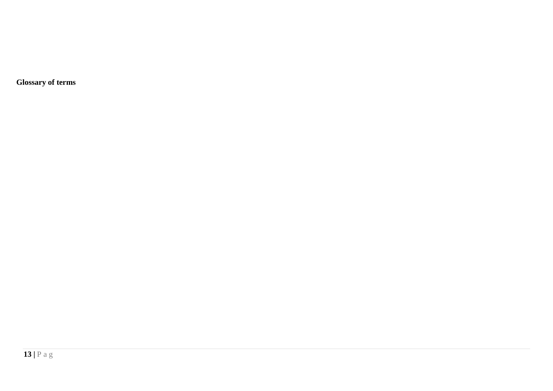**Glossary of terms**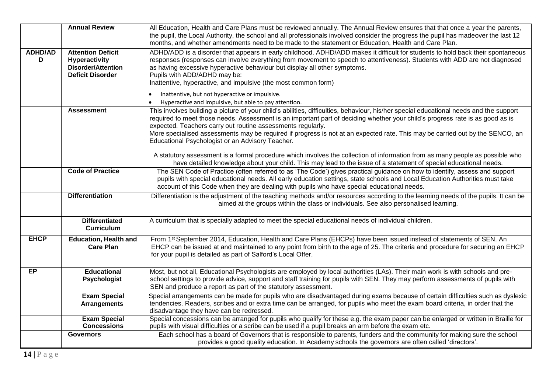|                     | <b>Annual Review</b>                                                                                     | All Education, Health and Care Plans must be reviewed annually. The Annual Review ensures that that once a year the parents,<br>the pupil, the Local Authority, the school and all professionals involved consider the progress the pupil has madeover the last 12<br>months, and whether amendments need to be made to the statement or Education, Health and Care Plan.                                                                                                                                                                                                                                                                                                                                                                                                                                                                  |
|---------------------|----------------------------------------------------------------------------------------------------------|--------------------------------------------------------------------------------------------------------------------------------------------------------------------------------------------------------------------------------------------------------------------------------------------------------------------------------------------------------------------------------------------------------------------------------------------------------------------------------------------------------------------------------------------------------------------------------------------------------------------------------------------------------------------------------------------------------------------------------------------------------------------------------------------------------------------------------------------|
| <b>ADHD/AD</b><br>D | <b>Attention Deficit</b><br><b>Hyperactivity</b><br><b>Disorder/Attention</b><br><b>Deficit Disorder</b> | ADHD/ADD is a disorder that appears in early childhood. ADHD/ADD makes it difficult for students to hold back their spontaneous<br>responses (responses can involve everything from movement to speech to attentiveness). Students with ADD are not diagnosed<br>as having excessive hyperactive behaviour but display all other symptoms.<br>Pupils with ADD/ADHD may be:<br>Inattentive, hyperactive, and impulsive (the most common form)<br>Inattentive, but not hyperactive or impulsive.                                                                                                                                                                                                                                                                                                                                             |
|                     | <b>Assessment</b>                                                                                        | Hyperactive and impulsive, but able to pay attention.<br>This involves building a picture of your child's abilities, difficulties, behaviour, his/her special educational needs and the support<br>required to meet those needs. Assessment is an important part of deciding whether your child's progress rate is as good as is<br>expected. Teachers carry out routine assessments regularly.<br>More specialised assessments may be required if progress is not at an expected rate. This may be carried out by the SENCO, an<br>Educational Psychologist or an Advisory Teacher.<br>A statutory assessment is a formal procedure which involves the collection of information from as many people as possible who<br>have detailed knowledge about your child. This may lead to the issue of a statement of special educational needs. |
|                     | <b>Code of Practice</b>                                                                                  | The SEN Code of Practice (often referred to as 'The Code') gives practical guidance on how to identify, assess and support<br>pupils with special educational needs. All early education settings, state schools and Local Education Authorities must take<br>account of this Code when they are dealing with pupils who have special educational needs.                                                                                                                                                                                                                                                                                                                                                                                                                                                                                   |
|                     | <b>Differentiation</b>                                                                                   | Differentiation is the adjustment of the teaching methods and/or resources according to the learning needs of the pupils. It can be<br>aimed at the groups within the class or individuals. See also personalised learning.                                                                                                                                                                                                                                                                                                                                                                                                                                                                                                                                                                                                                |
|                     | <b>Differentiated</b><br><b>Curriculum</b>                                                               | A curriculum that is specially adapted to meet the special educational needs of individual children.                                                                                                                                                                                                                                                                                                                                                                                                                                                                                                                                                                                                                                                                                                                                       |
| <b>EHCP</b>         | <b>Education, Health and</b><br><b>Care Plan</b>                                                         | From 1st September 2014, Education, Health and Care Plans (EHCPs) have been issued instead of statements of SEN. An<br>EHCP can be issued at and maintained to any point from birth to the age of 25. The criteria and procedure for securing an EHCP<br>for your pupil is detailed as part of Salford's Local Offer.                                                                                                                                                                                                                                                                                                                                                                                                                                                                                                                      |
| <b>EP</b>           | <b>Educational</b><br><b>Psychologist</b>                                                                | Most, but not all, Educational Psychologists are employed by local authorities (LAs). Their main work is with schools and pre-<br>school settings to provide advice, support and staff training for pupils with SEN. They may perform assessments of pupils with<br>SEN and produce a report as part of the statutory assessment.                                                                                                                                                                                                                                                                                                                                                                                                                                                                                                          |
|                     | <b>Exam Special</b><br><b>Arrangements</b>                                                               | Special arrangements can be made for pupils who are disadvantaged during exams because of certain difficulties such as dyslexic<br>tendencies. Readers, scribes and or extra time can be arranged, for pupils who meet the exam board criteria, in order that the<br>disadvantage they have can be redressed.                                                                                                                                                                                                                                                                                                                                                                                                                                                                                                                              |
|                     | <b>Exam Special</b><br><b>Concessions</b>                                                                | Special concessions can be arranged for pupils who qualify for these e.g. the exam paper can be enlarged or written in Braille for<br>pupils with visual difficulties or a scribe can be used if a pupil breaks an arm before the exam etc.                                                                                                                                                                                                                                                                                                                                                                                                                                                                                                                                                                                                |
|                     | <b>Governors</b>                                                                                         | Each school has a board of Governors that is responsible to parents, funders and the community for making sure the school<br>provides a good quality education. In Academy schools the governors are often called 'directors'.                                                                                                                                                                                                                                                                                                                                                                                                                                                                                                                                                                                                             |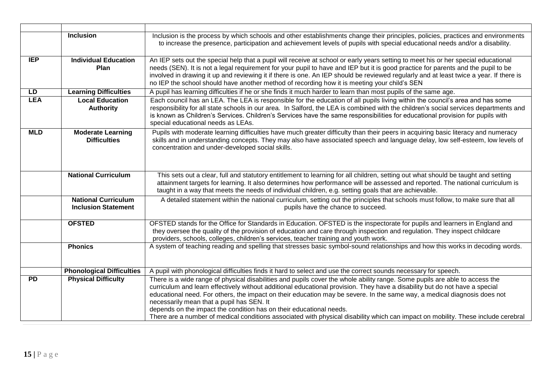|            | <b>Inclusion</b>                                         | Inclusion is the process by which schools and other establishments change their principles, policies, practices and environments<br>to increase the presence, participation and achievement levels of pupils with special educational needs and/or a disability.                                                                                                                                                                                                                                                                                                                                                                                |
|------------|----------------------------------------------------------|-------------------------------------------------------------------------------------------------------------------------------------------------------------------------------------------------------------------------------------------------------------------------------------------------------------------------------------------------------------------------------------------------------------------------------------------------------------------------------------------------------------------------------------------------------------------------------------------------------------------------------------------------|
| <b>IEP</b> | <b>Individual Education</b><br>Plan                      | An IEP sets out the special help that a pupil will receive at school or early years setting to meet his or her special educational<br>needs (SEN). It is not a legal requirement for your pupil to have and IEP but it is good practice for parents and the pupil to be<br>involved in drawing it up and reviewing it if there is one. An IEP should be reviewed regularly and at least twice a year. If there is<br>no IEP the school should have another method of recording how it is meeting your child's SEN                                                                                                                               |
| LD         | <b>Learning Difficulties</b>                             | A pupil has learning difficulties if he or she finds it much harder to learn than most pupils of the same age.                                                                                                                                                                                                                                                                                                                                                                                                                                                                                                                                  |
| <b>LEA</b> | <b>Local Education</b><br><b>Authority</b>               | Each council has an LEA. The LEA is responsible for the education of all pupils living within the council's area and has some<br>responsibility for all state schools in our area. In Salford, the LEA is combined with the children's social services departments and<br>is known as Children's Services. Children's Services have the same responsibilities for educational provision for pupils with<br>special educational needs as LEAs.                                                                                                                                                                                                   |
| <b>MLD</b> | <b>Moderate Learning</b><br><b>Difficulties</b>          | Pupils with moderate learning difficulties have much greater difficulty than their peers in acquiring basic literacy and numeracy<br>skills and in understanding concepts. They may also have associated speech and language delay, low self-esteem, low levels of<br>concentration and under-developed social skills.                                                                                                                                                                                                                                                                                                                          |
|            | <b>National Curriculum</b>                               | This sets out a clear, full and statutory entitlement to learning for all children, setting out what should be taught and setting<br>attainment targets for learning. It also determines how performance will be assessed and reported. The national curriculum is<br>taught in a way that meets the needs of individual children, e.g. setting goals that are achievable.                                                                                                                                                                                                                                                                      |
|            | <b>National Curriculum</b><br><b>Inclusion Statement</b> | A detailed statement within the national curriculum, setting out the principles that schools must follow, to make sure that all<br>pupils have the chance to succeed.                                                                                                                                                                                                                                                                                                                                                                                                                                                                           |
|            | <b>OFSTED</b>                                            | OFSTED stands for the Office for Standards in Education. OFSTED is the inspectorate for pupils and learners in England and<br>they oversee the quality of the provision of education and care through inspection and regulation. They inspect childcare<br>providers, schools, colleges, children's services, teacher training and youth work.                                                                                                                                                                                                                                                                                                  |
|            | <b>Phonics</b>                                           | A system of teaching reading and spelling that stresses basic symbol-sound relationships and how this works in decoding words.                                                                                                                                                                                                                                                                                                                                                                                                                                                                                                                  |
|            | <b>Phonological Difficulties</b>                         | A pupil with phonological difficulties finds it hard to select and use the correct sounds necessary for speech.                                                                                                                                                                                                                                                                                                                                                                                                                                                                                                                                 |
| <b>PD</b>  | <b>Physical Difficulty</b>                               | There is a wide range of physical disabilities and pupils cover the whole ability range. Some pupils are able to access the<br>curriculum and learn effectively without additional educational provision. They have a disability but do not have a special<br>educational need. For others, the impact on their education may be severe. In the same way, a medical diagnosis does not<br>necessarily mean that a pupil has SEN. It<br>depends on the impact the condition has on their educational needs.<br>There are a number of medical conditions associated with physical disability which can impact on mobility. These include cerebral |